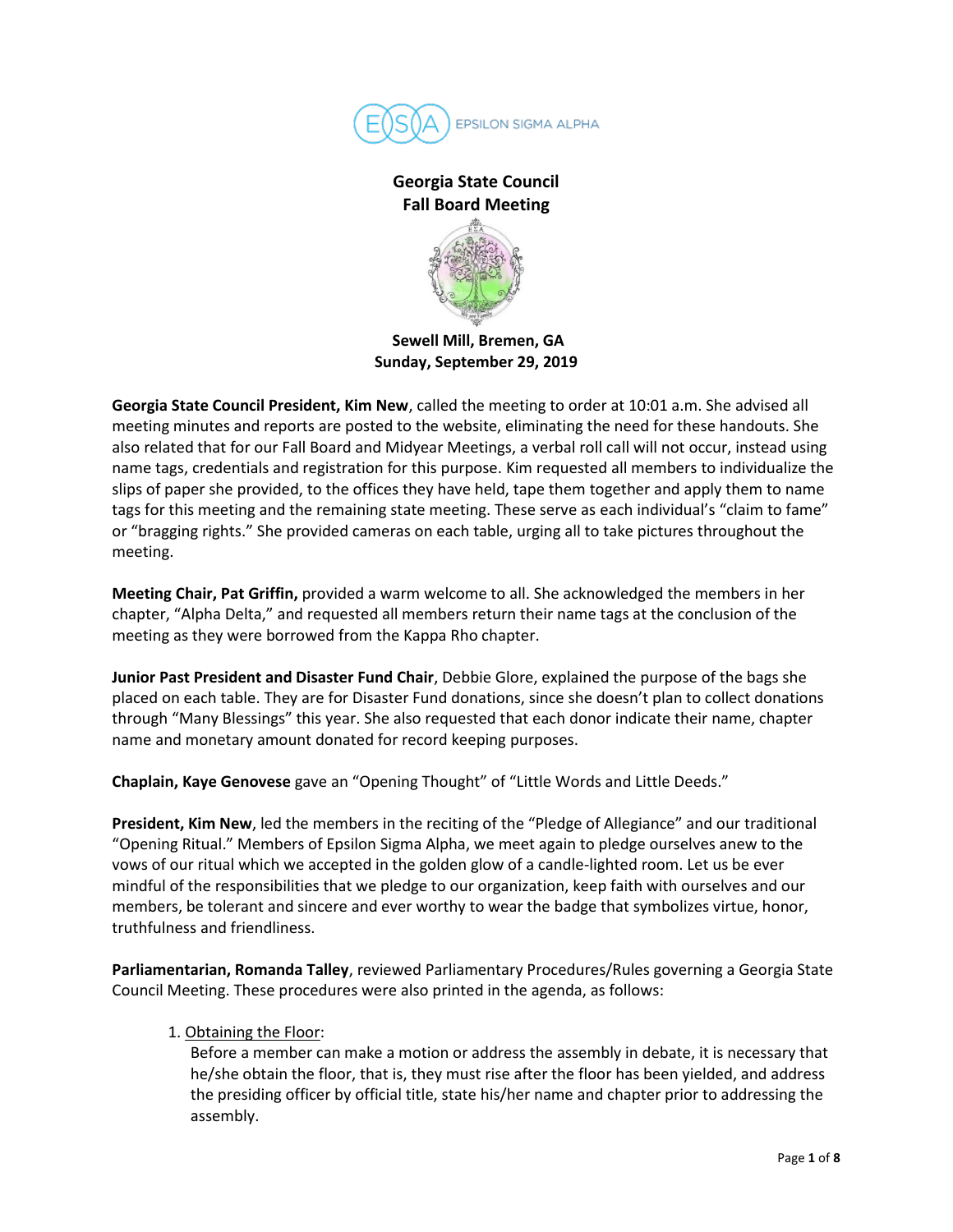

# **Georgia State Council Fall Board Meeting**



**Sewell Mill, Bremen, GA Sunday, September 29, 2019**

**Georgia State Council President, Kim New**, called the meeting to order at 10:01 a.m. She advised all meeting minutes and reports are posted to the website, eliminating the need for these handouts. She also related that for our Fall Board and Midyear Meetings, a verbal roll call will not occur, instead using name tags, credentials and registration for this purpose. Kim requested all members to individualize the slips of paper she provided, to the offices they have held, tape them together and apply them to name tags for this meeting and the remaining state meeting. These serve as each individual's "claim to fame" or "bragging rights." She provided cameras on each table, urging all to take pictures throughout the meeting.

**Meeting Chair, Pat Griffin,** provided a warm welcome to all. She acknowledged the members in her chapter, "Alpha Delta," and requested all members return their name tags at the conclusion of the meeting as they were borrowed from the Kappa Rho chapter.

**Junior Past President and Disaster Fund Chair**, Debbie Glore, explained the purpose of the bags she placed on each table. They are for Disaster Fund donations, since she doesn't plan to collect donations through "Many Blessings" this year. She also requested that each donor indicate their name, chapter name and monetary amount donated for record keeping purposes.

**Chaplain, Kaye Genovese** gave an "Opening Thought" of "Little Words and Little Deeds."

**President, Kim New**, led the members in the reciting of the "Pledge of Allegiance" and our traditional "Opening Ritual." Members of Epsilon Sigma Alpha, we meet again to pledge ourselves anew to the vows of our ritual which we accepted in the golden glow of a candle-lighted room. Let us be ever mindful of the responsibilities that we pledge to our organization, keep faith with ourselves and our members, be tolerant and sincere and ever worthy to wear the badge that symbolizes virtue, honor, truthfulness and friendliness.

**Parliamentarian, Romanda Talley**, reviewed Parliamentary Procedures/Rules governing a Georgia State Council Meeting. These procedures were also printed in the agenda, as follows:

1. Obtaining the Floor:

Before a member can make a motion or address the assembly in debate, it is necessary that he/she obtain the floor, that is, they must rise after the floor has been yielded, and address the presiding officer by official title, state his/her name and chapter prior to addressing the assembly.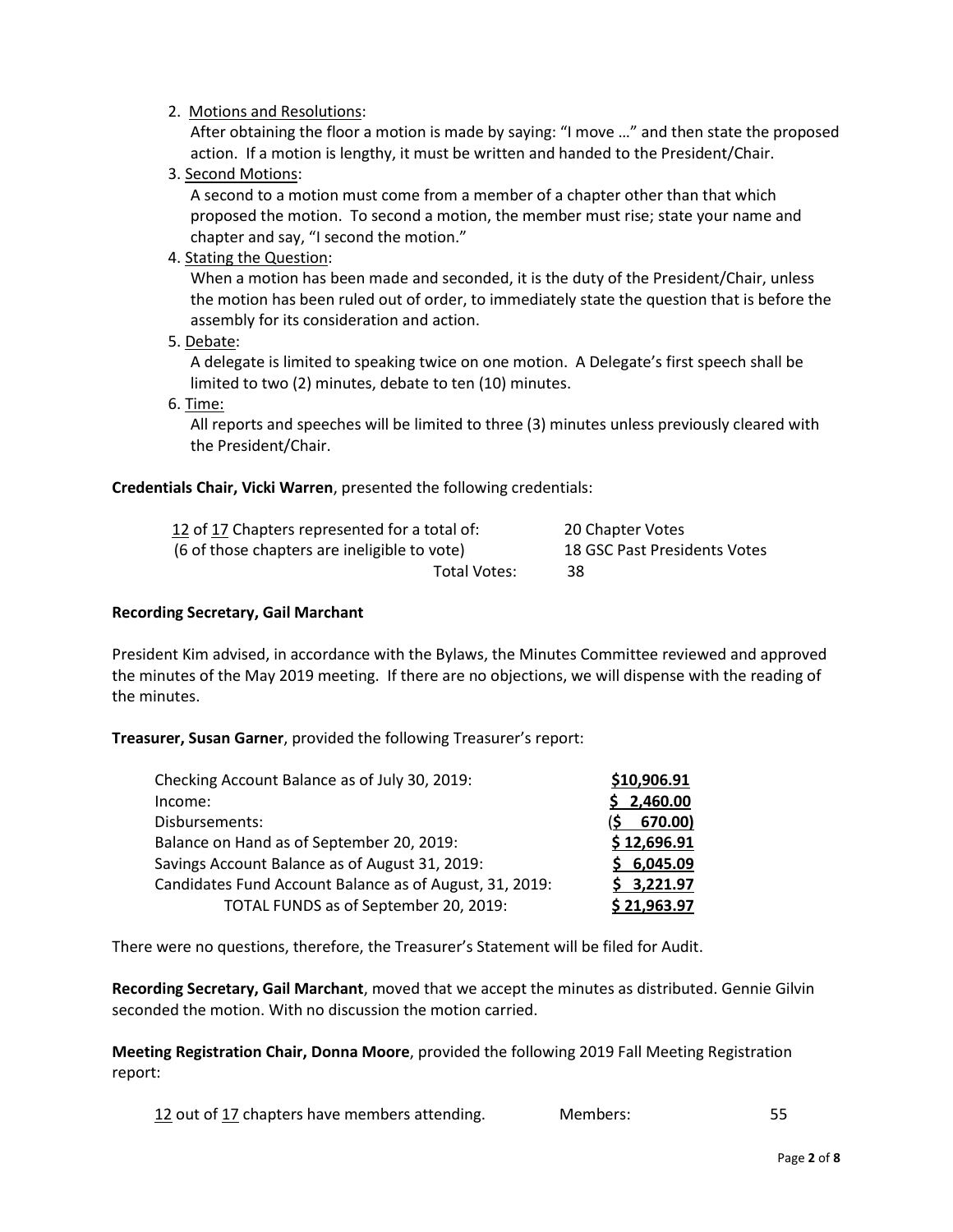## 2. Motions and Resolutions:

After obtaining the floor a motion is made by saying: "I move …" and then state the proposed action. If a motion is lengthy, it must be written and handed to the President/Chair.

3. Second Motions:

A second to a motion must come from a member of a chapter other than that which proposed the motion. To second a motion, the member must rise; state your name and chapter and say, "I second the motion."

4. Stating the Question:

When a motion has been made and seconded, it is the duty of the President/Chair, unless the motion has been ruled out of order, to immediately state the question that is before the assembly for its consideration and action.

5. Debate:

A delegate is limited to speaking twice on one motion. A Delegate's first speech shall be limited to two (2) minutes, debate to ten (10) minutes.

6. Time:

All reports and speeches will be limited to three (3) minutes unless previously cleared with the President/Chair.

## **Credentials Chair, Vicki Warren**, presented the following credentials:

| 12 of 17 Chapters represented for a total of: | 20 Chapter Votes             |
|-----------------------------------------------|------------------------------|
| (6 of those chapters are ineligible to vote)  | 18 GSC Past Presidents Votes |
| Total Votes:                                  | 38                           |

### **Recording Secretary, Gail Marchant**

President Kim advised, in accordance with the Bylaws, the Minutes Committee reviewed and approved the minutes of the May 2019 meeting. If there are no objections, we will dispense with the reading of the minutes.

**Treasurer, Susan Garner**, provided the following Treasurer's report:

| Checking Account Balance as of July 30, 2019:           | \$10,906.91 |
|---------------------------------------------------------|-------------|
| Income:                                                 | 2,460.00    |
| Disbursements:                                          | 670.00)     |
| Balance on Hand as of September 20, 2019:               | \$12,696.91 |
| Savings Account Balance as of August 31, 2019:          | \$6,045.09  |
| Candidates Fund Account Balance as of August, 31, 2019: | \$3,221.97  |
| TOTAL FUNDS as of September 20, 2019:                   | \$21,963.97 |

There were no questions, therefore, the Treasurer's Statement will be filed for Audit.

**Recording Secretary, Gail Marchant**, moved that we accept the minutes as distributed. Gennie Gilvin seconded the motion. With no discussion the motion carried.

**Meeting Registration Chair, Donna Moore**, provided the following 2019 Fall Meeting Registration report:

12 out of 17 chapters have members attending. Members: 55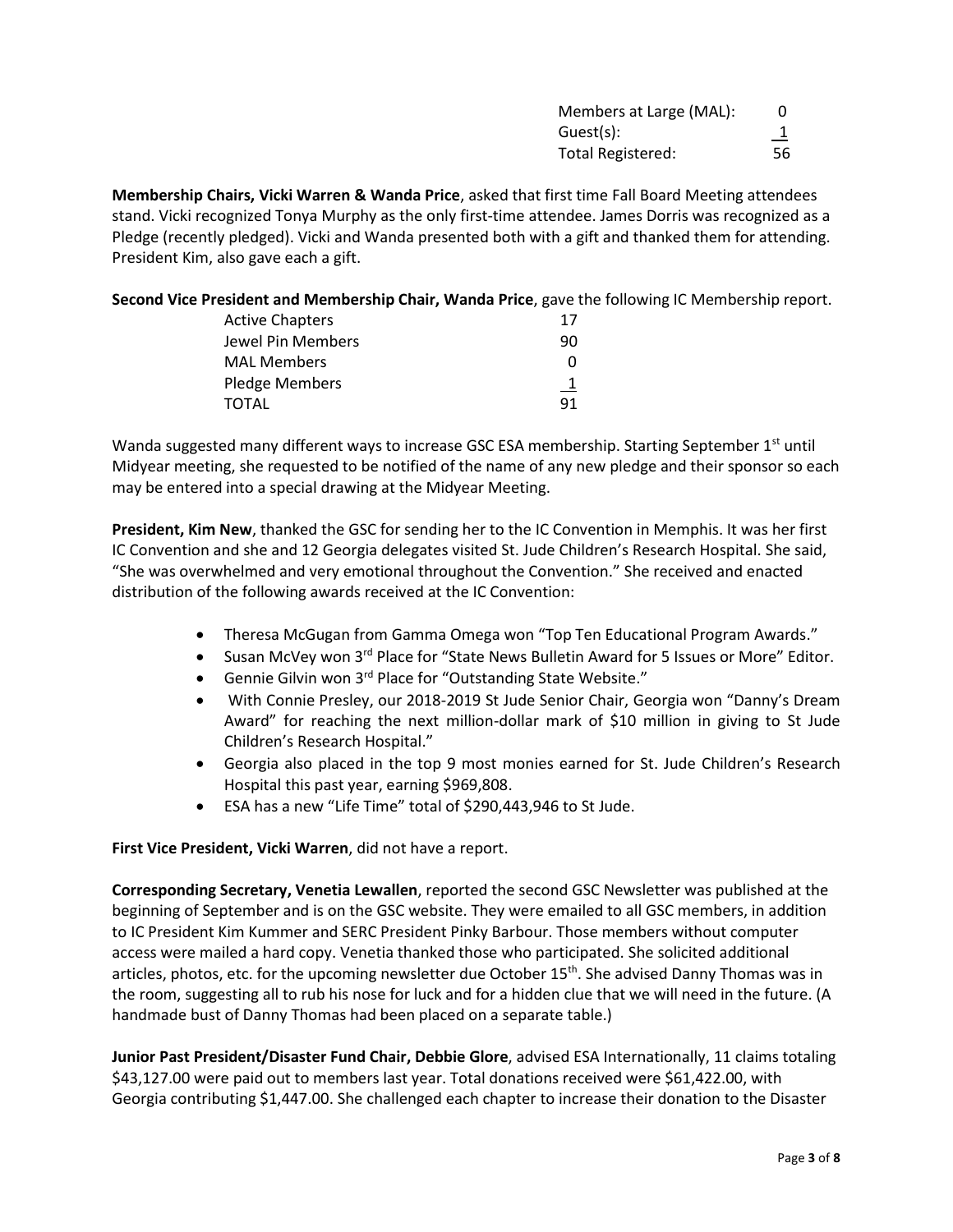| Members at Large (MAL): |    |
|-------------------------|----|
| Guest(s):               |    |
| Total Registered:       | 56 |

**Membership Chairs, Vicki Warren & Wanda Price**, asked that first time Fall Board Meeting attendees stand. Vicki recognized Tonya Murphy as the only first-time attendee. James Dorris was recognized as a Pledge (recently pledged). Vicki and Wanda presented both with a gift and thanked them for attending. President Kim, also gave each a gift.

**Second Vice President and Membership Chair, Wanda Price**, gave the following IC Membership report.

| <b>Active Chapters</b> | 17        |
|------------------------|-----------|
| Jewel Pin Members      | 90        |
| <b>MAL Members</b>     | O         |
| Pledge Members         | <u>_1</u> |
| TOTAL                  | 91        |

Wanda suggested many different ways to increase GSC ESA membership. Starting September 1<sup>st</sup> until Midyear meeting, she requested to be notified of the name of any new pledge and their sponsor so each may be entered into a special drawing at the Midyear Meeting.

**President, Kim New**, thanked the GSC for sending her to the IC Convention in Memphis. It was her first IC Convention and she and 12 Georgia delegates visited St. Jude Children's Research Hospital. She said, "She was overwhelmed and very emotional throughout the Convention." She received and enacted distribution of the following awards received at the IC Convention:

- Theresa McGugan from Gamma Omega won "Top Ten Educational Program Awards."
- Susan McVey won 3<sup>rd</sup> Place for "State News Bulletin Award for 5 Issues or More" Editor.
- Gennie Gilvin won 3<sup>rd</sup> Place for "Outstanding State Website."
- With Connie Presley, our 2018-2019 St Jude Senior Chair, Georgia won "Danny's Dream Award" for reaching the next million-dollar mark of \$10 million in giving to St Jude Children's Research Hospital."
- Georgia also placed in the top 9 most monies earned for St. Jude Children's Research Hospital this past year, earning \$969,808.
- ESA has a new "Life Time" total of \$290,443,946 to St Jude.

## **First Vice President, Vicki Warren**, did not have a report.

**Corresponding Secretary, Venetia Lewallen**, reported the second GSC Newsletter was published at the beginning of September and is on the GSC website. They were emailed to all GSC members, in addition to IC President Kim Kummer and SERC President Pinky Barbour. Those members without computer access were mailed a hard copy. Venetia thanked those who participated. She solicited additional articles, photos, etc. for the upcoming newsletter due October 15<sup>th</sup>. She advised Danny Thomas was in the room, suggesting all to rub his nose for luck and for a hidden clue that we will need in the future. (A handmade bust of Danny Thomas had been placed on a separate table.)

**Junior Past President/Disaster Fund Chair, Debbie Glore**, advised ESA Internationally, 11 claims totaling \$43,127.00 were paid out to members last year. Total donations received were \$61,422.00, with Georgia contributing \$1,447.00. She challenged each chapter to increase their donation to the Disaster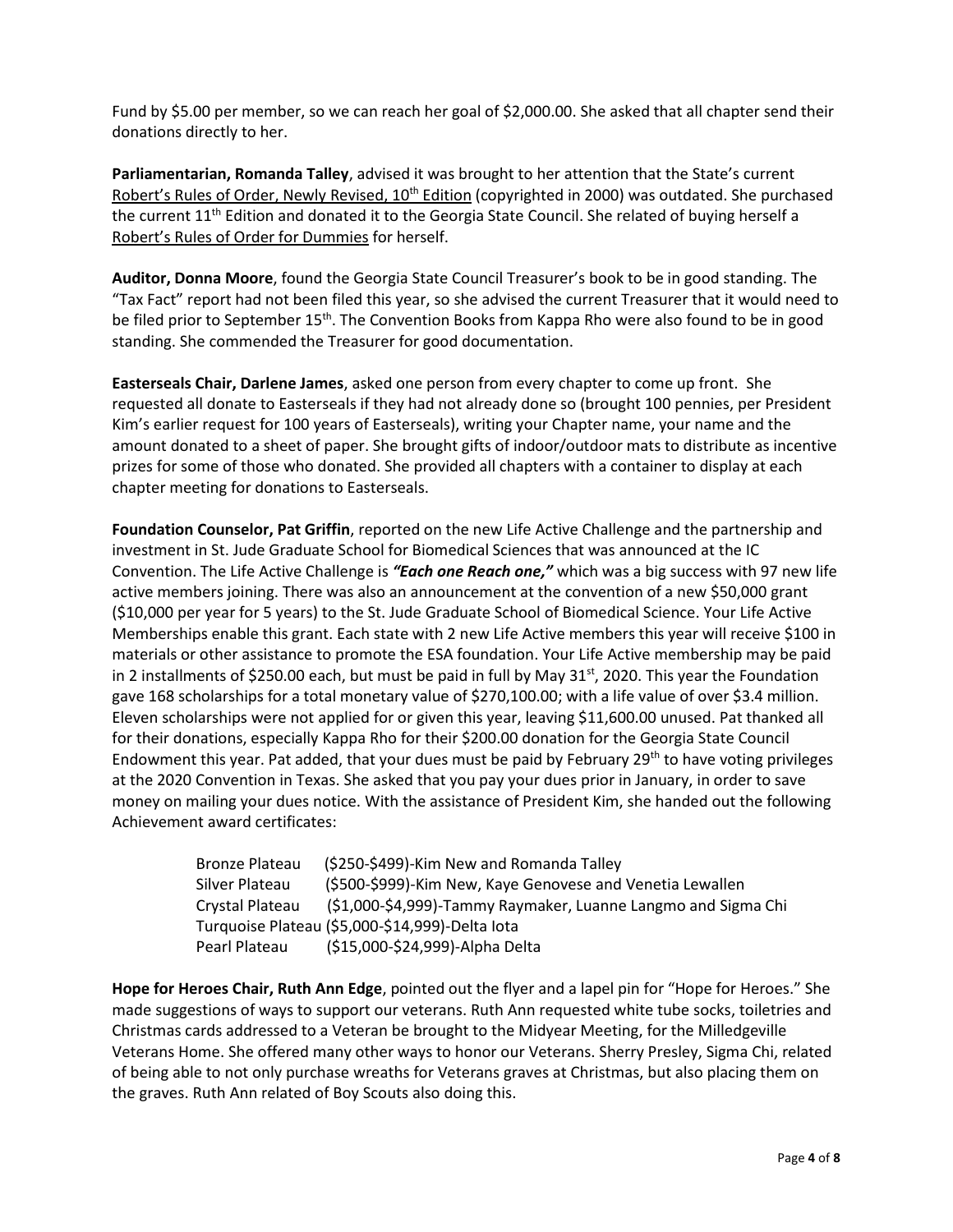Fund by \$5.00 per member, so we can reach her goal of \$2,000.00. She asked that all chapter send their donations directly to her.

**Parliamentarian, Romanda Talley**, advised it was brought to her attention that the State's current Robert's Rules of Order, Newly Revised, 10<sup>th</sup> Edition (copyrighted in 2000) was outdated. She purchased the current 11<sup>th</sup> Edition and donated it to the Georgia State Council. She related of buying herself a Robert's Rules of Order for Dummies for herself.

**Auditor, Donna Moore**, found the Georgia State Council Treasurer's book to be in good standing. The "Tax Fact" report had not been filed this year, so she advised the current Treasurer that it would need to be filed prior to September 15<sup>th</sup>. The Convention Books from Kappa Rho were also found to be in good standing. She commended the Treasurer for good documentation.

**Easterseals Chair, Darlene James**, asked one person from every chapter to come up front. She requested all donate to Easterseals if they had not already done so (brought 100 pennies, per President Kim's earlier request for 100 years of Easterseals), writing your Chapter name, your name and the amount donated to a sheet of paper. She brought gifts of indoor/outdoor mats to distribute as incentive prizes for some of those who donated. She provided all chapters with a container to display at each chapter meeting for donations to Easterseals.

**Foundation Counselor, Pat Griffin**, reported on the new Life Active Challenge and the partnership and investment in St. Jude Graduate School for Biomedical Sciences that was announced at the IC Convention. The Life Active Challenge is *"Each one Reach one,"* which was a big success with 97 new life active members joining. There was also an announcement at the convention of a new \$50,000 grant (\$10,000 per year for 5 years) to the St. Jude Graduate School of Biomedical Science. Your Life Active Memberships enable this grant. Each state with 2 new Life Active members this year will receive \$100 in materials or other assistance to promote the ESA foundation. Your Life Active membership may be paid in 2 installments of \$250.00 each, but must be paid in full by May 31<sup>st</sup>, 2020. This year the Foundation gave 168 scholarships for a total monetary value of \$270,100.00; with a life value of over \$3.4 million. Eleven scholarships were not applied for or given this year, leaving \$11,600.00 unused. Pat thanked all for their donations, especially Kappa Rho for their \$200.00 donation for the Georgia State Council Endowment this year. Pat added, that your dues must be paid by February  $29<sup>th</sup>$  to have voting privileges at the 2020 Convention in Texas. She asked that you pay your dues prior in January, in order to save money on mailing your dues notice. With the assistance of President Kim, she handed out the following Achievement award certificates:

| <b>Bronze Plateau</b> | (\$250-\$499)-Kim New and Romanda Talley                      |
|-----------------------|---------------------------------------------------------------|
| Silver Plateau        | (\$500-\$999)-Kim New, Kaye Genovese and Venetia Lewallen     |
| Crystal Plateau       | (\$1,000-\$4,999)-Tammy Raymaker, Luanne Langmo and Sigma Chi |
|                       | Turquoise Plateau (\$5,000-\$14,999)-Delta lota               |
| Pearl Plateau         | (\$15,000-\$24,999)-Alpha Delta                               |

**Hope for Heroes Chair, Ruth Ann Edge**, pointed out the flyer and a lapel pin for "Hope for Heroes." She made suggestions of ways to support our veterans. Ruth Ann requested white tube socks, toiletries and Christmas cards addressed to a Veteran be brought to the Midyear Meeting, for the Milledgeville Veterans Home. She offered many other ways to honor our Veterans. Sherry Presley, Sigma Chi, related of being able to not only purchase wreaths for Veterans graves at Christmas, but also placing them on the graves. Ruth Ann related of Boy Scouts also doing this.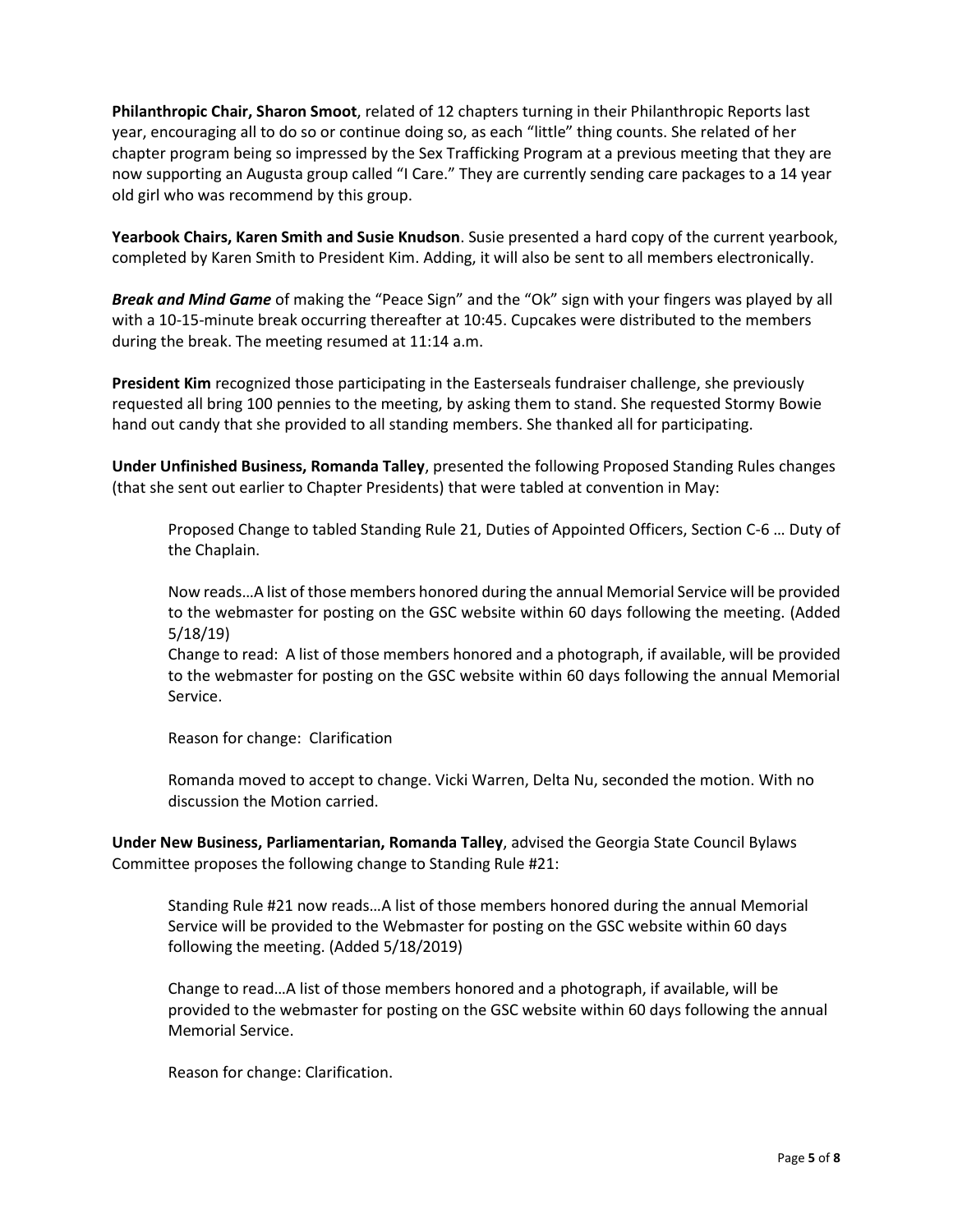**Philanthropic Chair, Sharon Smoot**, related of 12 chapters turning in their Philanthropic Reports last year, encouraging all to do so or continue doing so, as each "little" thing counts. She related of her chapter program being so impressed by the Sex Trafficking Program at a previous meeting that they are now supporting an Augusta group called "I Care." They are currently sending care packages to a 14 year old girl who was recommend by this group.

**Yearbook Chairs, Karen Smith and Susie Knudson**. Susie presented a hard copy of the current yearbook, completed by Karen Smith to President Kim. Adding, it will also be sent to all members electronically.

*Break and Mind Game* of making the "Peace Sign" and the "Ok" sign with your fingers was played by all with a 10-15-minute break occurring thereafter at 10:45. Cupcakes were distributed to the members during the break. The meeting resumed at 11:14 a.m.

**President Kim** recognized those participating in the Easterseals fundraiser challenge, she previously requested all bring 100 pennies to the meeting, by asking them to stand. She requested Stormy Bowie hand out candy that she provided to all standing members. She thanked all for participating.

**Under Unfinished Business, Romanda Talley**, presented the following Proposed Standing Rules changes (that she sent out earlier to Chapter Presidents) that were tabled at convention in May:

Proposed Change to tabled Standing Rule 21, Duties of Appointed Officers, Section C-6 … Duty of the Chaplain.

Now reads…A list of those members honored during the annual Memorial Service will be provided to the webmaster for posting on the GSC website within 60 days following the meeting. (Added 5/18/19)

Change to read: A list of those members honored and a photograph, if available, will be provided to the webmaster for posting on the GSC website within 60 days following the annual Memorial Service.

Reason for change: Clarification

Romanda moved to accept to change. Vicki Warren, Delta Nu, seconded the motion. With no discussion the Motion carried.

**Under New Business, Parliamentarian, Romanda Talley**, advised the Georgia State Council Bylaws Committee proposes the following change to Standing Rule #21:

Standing Rule #21 now reads…A list of those members honored during the annual Memorial Service will be provided to the Webmaster for posting on the GSC website within 60 days following the meeting. (Added 5/18/2019)

Change to read…A list of those members honored and a photograph, if available, will be provided to the webmaster for posting on the GSC website within 60 days following the annual Memorial Service.

Reason for change: Clarification.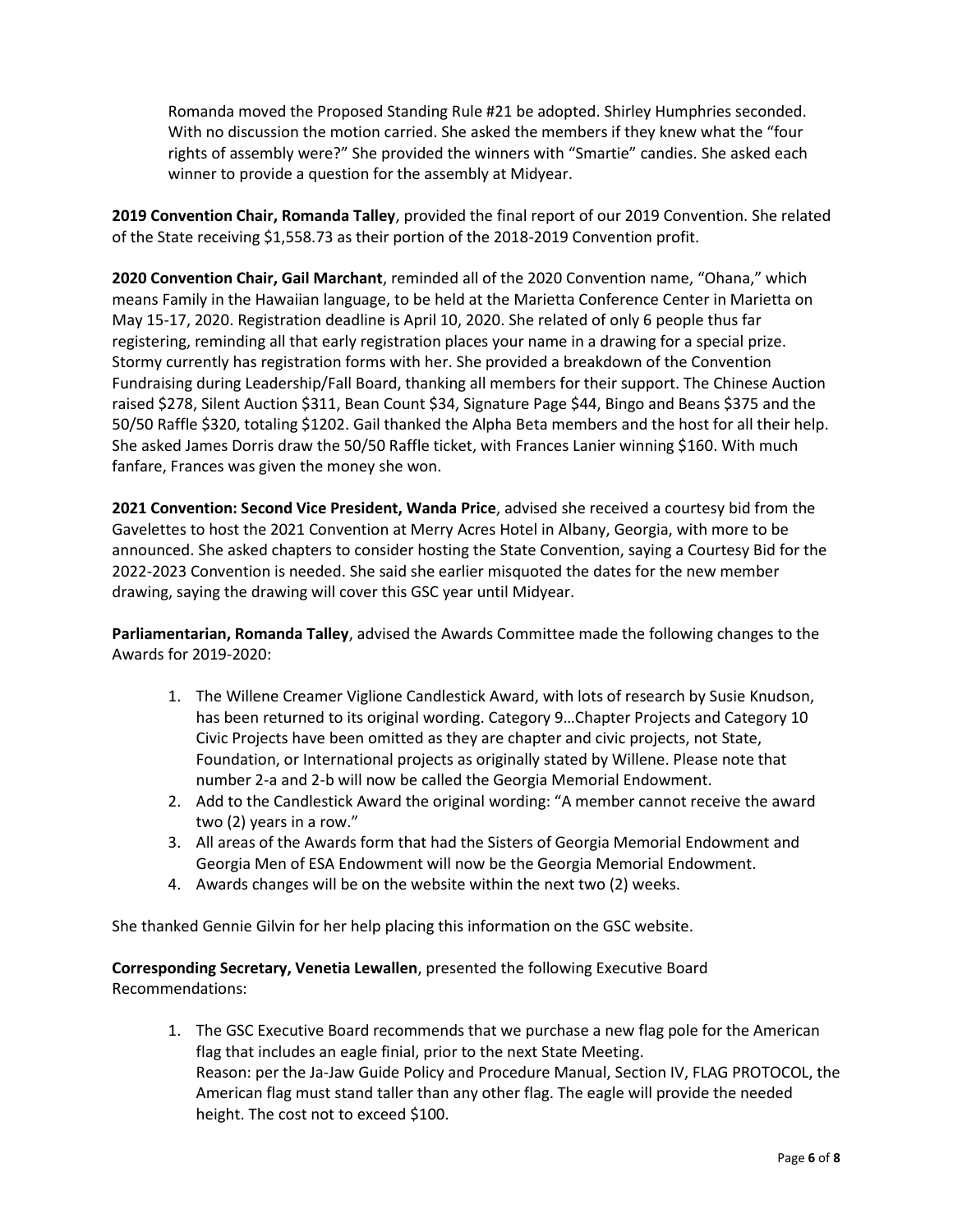Romanda moved the Proposed Standing Rule #21 be adopted. Shirley Humphries seconded. With no discussion the motion carried. She asked the members if they knew what the "four rights of assembly were?" She provided the winners with "Smartie" candies. She asked each winner to provide a question for the assembly at Midyear.

**2019 Convention Chair, Romanda Talley**, provided the final report of our 2019 Convention. She related of the State receiving \$1,558.73 as their portion of the 2018-2019 Convention profit.

**2020 Convention Chair, Gail Marchant**, reminded all of the 2020 Convention name, "Ohana," which means Family in the Hawaiian language, to be held at the Marietta Conference Center in Marietta on May 15-17, 2020. Registration deadline is April 10, 2020. She related of only 6 people thus far registering, reminding all that early registration places your name in a drawing for a special prize. Stormy currently has registration forms with her. She provided a breakdown of the Convention Fundraising during Leadership/Fall Board, thanking all members for their support. The Chinese Auction raised \$278, Silent Auction \$311, Bean Count \$34, Signature Page \$44, Bingo and Beans \$375 and the 50/50 Raffle \$320, totaling \$1202. Gail thanked the Alpha Beta members and the host for all their help. She asked James Dorris draw the 50/50 Raffle ticket, with Frances Lanier winning \$160. With much fanfare, Frances was given the money she won.

**2021 Convention: Second Vice President, Wanda Price**, advised she received a courtesy bid from the Gavelettes to host the 2021 Convention at Merry Acres Hotel in Albany, Georgia, with more to be announced. She asked chapters to consider hosting the State Convention, saying a Courtesy Bid for the 2022-2023 Convention is needed. She said she earlier misquoted the dates for the new member drawing, saying the drawing will cover this GSC year until Midyear.

**Parliamentarian, Romanda Talley**, advised the Awards Committee made the following changes to the Awards for 2019-2020:

- 1. The Willene Creamer Viglione Candlestick Award, with lots of research by Susie Knudson, has been returned to its original wording. Category 9…Chapter Projects and Category 10 Civic Projects have been omitted as they are chapter and civic projects, not State, Foundation, or International projects as originally stated by Willene. Please note that number 2-a and 2-b will now be called the Georgia Memorial Endowment.
- 2. Add to the Candlestick Award the original wording: "A member cannot receive the award two (2) years in a row."
- 3. All areas of the Awards form that had the Sisters of Georgia Memorial Endowment and Georgia Men of ESA Endowment will now be the Georgia Memorial Endowment.
- 4. Awards changes will be on the website within the next two (2) weeks.

She thanked Gennie Gilvin for her help placing this information on the GSC website.

**Corresponding Secretary, Venetia Lewallen**, presented the following Executive Board Recommendations:

1. The GSC Executive Board recommends that we purchase a new flag pole for the American flag that includes an eagle finial, prior to the next State Meeting. Reason: per the Ja-Jaw Guide Policy and Procedure Manual, Section IV, FLAG PROTOCOL, the American flag must stand taller than any other flag. The eagle will provide the needed height. The cost not to exceed \$100.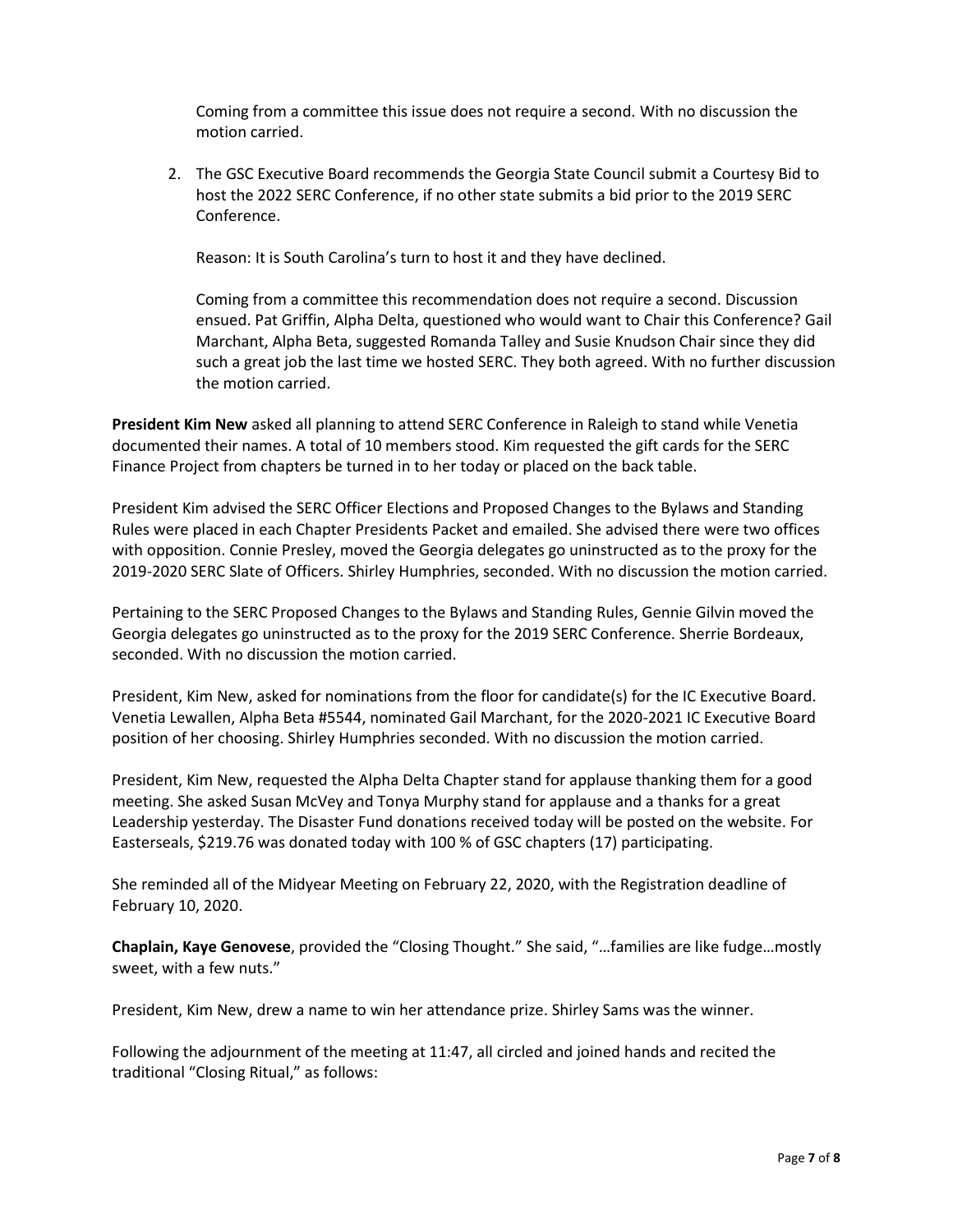Coming from a committee this issue does not require a second. With no discussion the motion carried.

2. The GSC Executive Board recommends the Georgia State Council submit a Courtesy Bid to host the 2022 SERC Conference, if no other state submits a bid prior to the 2019 SERC Conference.

Reason: It is South Carolina's turn to host it and they have declined.

Coming from a committee this recommendation does not require a second. Discussion ensued. Pat Griffin, Alpha Delta, questioned who would want to Chair this Conference? Gail Marchant, Alpha Beta, suggested Romanda Talley and Susie Knudson Chair since they did such a great job the last time we hosted SERC. They both agreed. With no further discussion the motion carried.

**President Kim New** asked all planning to attend SERC Conference in Raleigh to stand while Venetia documented their names. A total of 10 members stood. Kim requested the gift cards for the SERC Finance Project from chapters be turned in to her today or placed on the back table.

President Kim advised the SERC Officer Elections and Proposed Changes to the Bylaws and Standing Rules were placed in each Chapter Presidents Packet and emailed. She advised there were two offices with opposition. Connie Presley, moved the Georgia delegates go uninstructed as to the proxy for the 2019-2020 SERC Slate of Officers. Shirley Humphries, seconded. With no discussion the motion carried.

Pertaining to the SERC Proposed Changes to the Bylaws and Standing Rules, Gennie Gilvin moved the Georgia delegates go uninstructed as to the proxy for the 2019 SERC Conference. Sherrie Bordeaux, seconded. With no discussion the motion carried.

President, Kim New, asked for nominations from the floor for candidate(s) for the IC Executive Board. Venetia Lewallen, Alpha Beta #5544, nominated Gail Marchant, for the 2020-2021 IC Executive Board position of her choosing. Shirley Humphries seconded. With no discussion the motion carried.

President, Kim New, requested the Alpha Delta Chapter stand for applause thanking them for a good meeting. She asked Susan McVey and Tonya Murphy stand for applause and a thanks for a great Leadership yesterday. The Disaster Fund donations received today will be posted on the website. For Easterseals, \$219.76 was donated today with 100 % of GSC chapters (17) participating.

She reminded all of the Midyear Meeting on February 22, 2020, with the Registration deadline of February 10, 2020.

**Chaplain, Kaye Genovese**, provided the "Closing Thought." She said, "…families are like fudge…mostly sweet, with a few nuts."

President, Kim New, drew a name to win her attendance prize. Shirley Sams was the winner.

Following the adjournment of the meeting at 11:47, all circled and joined hands and recited the traditional "Closing Ritual," as follows: